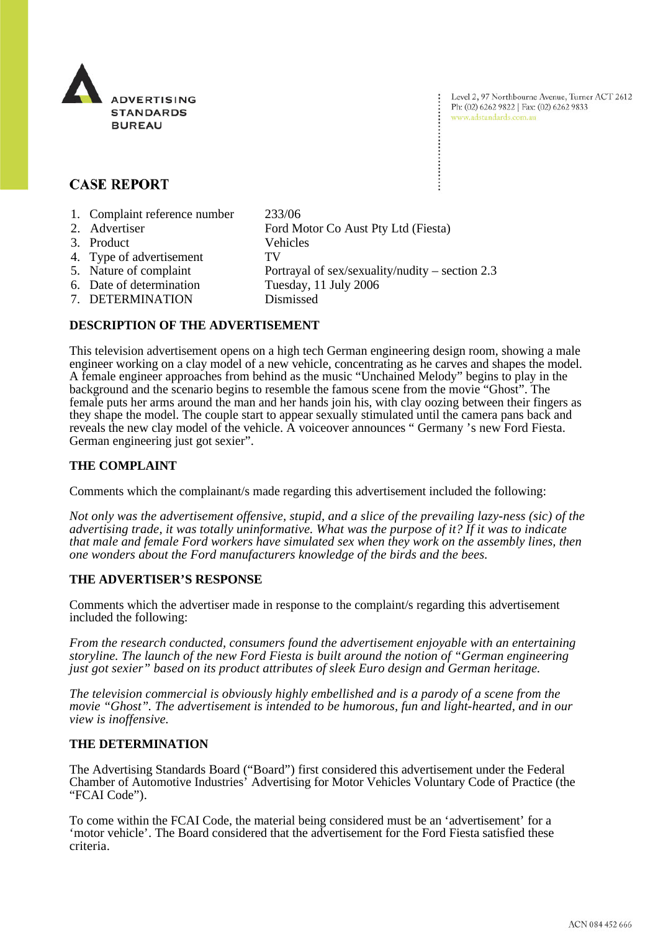

Level 2, 97 Northbourne Avenue, Turner ACT 2612 Ph: (02) 6262 9822 | Fax: (02) 6262 9833 www.adstandards.com.au

# **CASE REPORT**

- 1. Complaint reference number 233/06
- 2. Advertiser Ford Motor Co Aust Pty Ltd (Fiesta) 3. Product Vehicles
- 4. Type of advertisement TV
- 
- 6. Date of determination
- 7. DETERMINATION Dismissed
- 5. Nature of complaint Portrayal of sex/sexuality/nudity section 2.3<br>6. Date of determination Tuesday, 11 July 2006
- **DESCRIPTION OF THE ADVERTISEMENT**

#### This television advertisement opens on a high tech German engineering design room, showing a male engineer working on a clay model of a new vehicle, concentrating as he carves and shapes the model. A female engineer approaches from behind as the music "Unchained Melody" begins to play in the background and the scenario begins to resemble the famous scene from the movie "Ghost". The female puts her arms around the man and her hands join his, with clay oozing between their fingers as they shape the model. The couple start to appear sexually stimulated until the camera pans back and reveals the new clay model of the vehicle. A voiceover announces " Germany 's new Ford Fiesta. German engineering just got sexier".

## **THE COMPLAINT**

Comments which the complainant/s made regarding this advertisement included the following:

*Not only was the advertisement offensive, stupid, and a slice of the prevailing lazy-ness (sic) of the advertising trade, it was totally uninformative. What was the purpose of it? If it was to indicate that male and female Ford workers have simulated sex when they work on the assembly lines, then one wonders about the Ford manufacturers knowledge of the birds and the bees.* 

#### **THE ADVERTISER'S RESPONSE**

Comments which the advertiser made in response to the complaint/s regarding this advertisement included the following:

*From the research conducted, consumers found the advertisement enjoyable with an entertaining storyline. The launch of the new Ford Fiesta is built around the notion of "German engineering just got sexier" based on its product attributes of sleek Euro design and German heritage.* 

*The television commercial is obviously highly embellished and is a parody of a scene from the movie "Ghost". The advertisement is intended to be humorous, fun and light-hearted, and in our view is inoffensive.* 

## **THE DETERMINATION**

The Advertising Standards Board ("Board") first considered this advertisement under the Federal Chamber of Automotive Industries' Advertising for Motor Vehicles Voluntary Code of Practice (the "FCAI Code").

To come within the FCAI Code, the material being considered must be an 'advertisement' for a 'motor vehicle'. The Board considered that the advertisement for the Ford Fiesta satisfied these criteria.